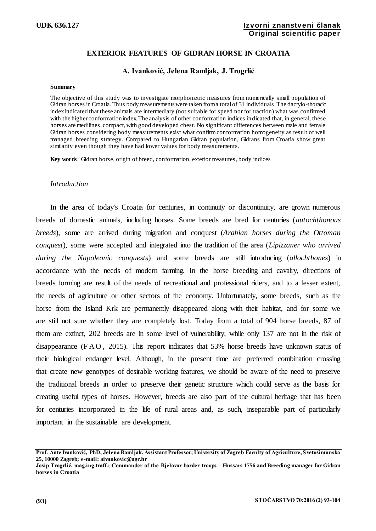# **EXTERIOR FEATURES OF GIDRAN HORSE IN CROATIA**

## **A. Ivanković, Jelena Ramljak, J. Trogrlić**

### **Summary**

The objective of this study was to investigate morphometric measures from numerically small population of Gidran horses in Croatia. Thus body measurements were taken from a total of 31 individuals. The dactylo-thoracic index indicated that these animals are intermediary (not suitable for speed nor for traction) what was confirmed with the higher conformation index. The analysis of other conformation indices indicated that, in general, these horses are medilines, compact, with good developed chest. No significant differences between male and female Gidran horses considering body measurements exist what confirm conformation homogeneity as result of well managed breeding strategy. Compared to Hungarian Gidran population, Gidrans from Croatia show great similarity even though they have had lower values for body measurements.

**Key words**: Gidran horse, origin of breed, conformation, exterior measures, body indices

## *Introduction*

In the area of today's Croatia for centuries, in continuity or discontinuity, are grown numerous breeds of domestic animals, including horses. Some breeds are bred for centuries (*autochthonous breeds*), some are arrived during migration and conquest (*Arabian horses during the Ottoman conquest*), some were accepted and integrated into the tradition of the area (*Lipizzaner who arrived during the Napoleonic conquests*) and some breeds are still introducing (*allochthones*) in accordance with the needs of modern farming. In the horse breeding and cavalry, directions of breeds forming are result of the needs of recreational and professional riders, and to a lesser extent, the needs of agriculture or other sectors of the economy. Unfortunately, some breeds, such as the horse from the Island Krk are permanently disappeared along with their habitat, and for some we are still not sure whether they are completely lost. Today from a total of 904 horse breeds, 87 of them are extinct, 202 breeds are in some level of vulnerability, while only 137 are not in the risk of disappearance (F A O , 2015). This report indicates that 53% horse breeds have unknown status of their biological endanger level. Although, in the present time are preferred combination crossing that create new genotypes of desirable working features, we should be aware of the need to preserve the traditional breeds in order to preserve their genetic structure which could serve as the basis for creating useful types of horses. However, breeds are also part of the cultural heritage that has been for centuries incorporated in the life of rural areas and, as such, inseparable part of particularly important in the sustainable are development.

**Prof. Ante Ivanković, PhD, Jelena Ramljak, Assistant Professor; University of Zagreb Faculty of Agriculture, Svetošimunska 25, 10000 Zagreb; e-mail: aivankovic@agr.hr**

**Josip Trogrlić, mag.ing.traff.; Commander of the Bjelovar border troops – Hussars 1756 and Breeding manager for Gidran horses in Croatia**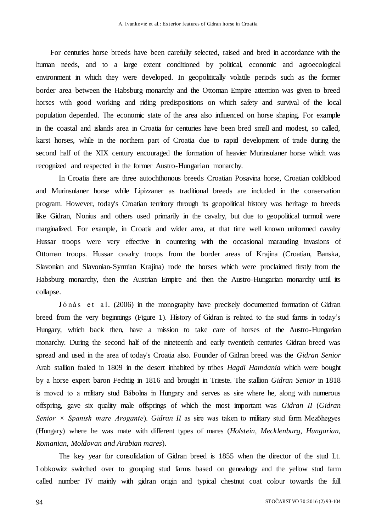For centuries horse breeds have been carefully selected, raised and bred in accordance with the human needs, and to a large extent conditioned by political, economic and agroecological environment in which they were developed. In geopolitically volatile periods such as the former border area between the Habsburg monarchy and the Ottoman Empire attention was given to breed horses with good working and riding predispositions on which safety and survival of the local population depended. The economic state of the area also influenced on horse shaping. For example in the coastal and islands area in Croatia for centuries have been bred small and modest, so called, karst horses, while in the northern part of Croatia due to rapid development of trade during the second half of the XIX century encouraged the formation of heavier Murinsulaner horse which was recognized and respected in the former Austro-Hungarian monarchy.

In Croatia there are three autochthonous breeds Croatian Posavina horse, Croatian coldblood and Murinsulaner horse while Lipizzaner as traditional breeds are included in the conservation program. However, today's Croatian territory through its geopolitical history was heritage to breeds like Gidran, Nonius and others used primarily in the cavalry, but due to geopolitical turmoil were marginalized. For example, in Croatia and wider area, at that time well known uniformed cavalry Hussar troops were very effective in countering with the occasional marauding invasions of Ottoman troops. Hussar cavalry troops from the border areas of Krajina (Croatian, Banska, Slavonian and Slavonian-Syrmian Krajina) rode the horses which were proclaimed firstly from the Habsburg monarchy, then the Austrian Empire and then the Austro-Hungarian monarchy until its collapse.

Jónás et al. (2006) in the monography have precisely documented formation of Gidran breed from the very beginnings (Figure 1). History of Gidran is related to the stud farms in today's Hungary, which back then, have a mission to take care of horses of the Austro-Hungarian monarchy. During the second half of the nineteenth and early twentieth centuries Gidran breed was spread and used in the area of today's Croatia also. Founder of Gidran breed was the *Gidran Senior* Arab stallion foaled in 1809 in the desert inhabited by tribes *Hagdi Hamdania* which were bought by a horse expert baron Fechtig in 1816 and brought in Trieste. The stallion *Gidran Senior* in 1818 is moved to a military stud Bábolna in Hungary and serves as sire where he, along with numerous offspring, gave six quality male offsprings of which the most important was *Gidran II* (*Gidran Senior × Spanish mare Arogante*). *Gidran II* as sire was taken to military stud farm Mezőhegyes (Hungary) where he was mate with different types of mares (*Holstein, Mecklenburg, Hungarian, Romanian, Moldovan and Arabian mares*).

The key year for consolidation of Gidran breed is 1855 when the director of the stud Lt. Lobkowitz switched over to grouping stud farms based on genealogy and the yellow stud farm called number IV mainly with gidran origin and typical chestnut coat colour towards the full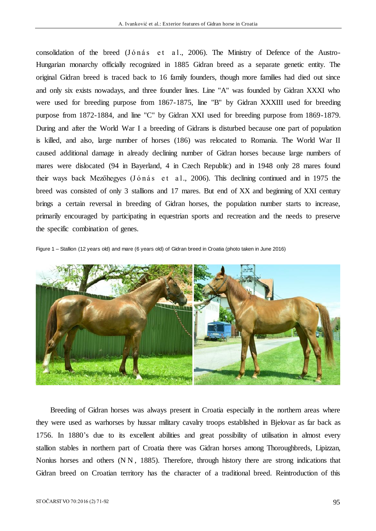consolidation of the breed (Jónás et al., 2006). The Ministry of Defence of the Austro-Hungarian monarchy officially recognized in 1885 Gidran breed as a separate genetic entity. The original Gidran breed is traced back to 16 family founders, though more families had died out since and only six exists nowadays, and three founder lines. Line ''A'' was founded by Gidran XXXI who were used for breeding purpose from 1867-1875, line ''B'' by Gidran XXXIII used for breeding purpose from 1872-1884, and line ''C'' by Gidran XXI used for breeding purpose from 1869-1879. During and after the World War I a breeding of Gidrans is disturbed because one part of population is killed, and also, large number of horses (186) was relocated to Romania. The World War II caused additional damage in already declining number of Gidran horses because large numbers of mares were dislocated (94 in Bayerland, 4 in Czech Republic) and in 1948 only 28 mares found their ways back Mezőhegyes (Jónás et al., 2006). This declining continued and in 1975 the breed was consisted of only 3 stallions and 17 mares. But end of XX and beginning of XXI century brings a certain reversal in breeding of Gidran horses, the population number starts to increase, primarily encouraged by participating in equestrian sports and recreation and the needs to preserve the specific combination of genes.

Figure 1 – Stallion (12 years old) and mare (6 years old) of Gidran breed in Croatia (photo taken in June 2016)



Breeding of Gidran horses was always present in Croatia especially in the northern areas where they were used as warhorses by hussar military cavalry troops established in Bjelovar as far back as 1756. In 1880's due to its excellent abilities and great possibility of utilisation in almost every stallion stables in northern part of Croatia there was Gidran horses among Thoroughbreds, Lipizzan, Nonius horses and others (N N , 1885). Therefore, through history there are strong indications that Gidran breed on Croatian territory has the character of a traditional breed. Reintroduction of this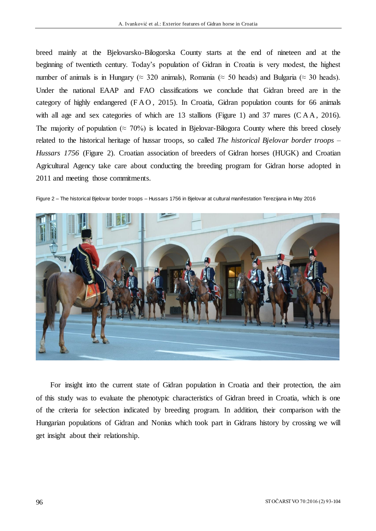breed mainly at the Bjelovarsko-Bilogorska County starts at the end of nineteen and at the beginning of twentieth century. Today's population of Gidran in Croatia is very modest, the highest number of animals is in Hungary ( $\approx$  320 animals), Romania ( $\approx$  50 heads) and Bulgaria ( $\approx$  30 heads). Under the national EAAP and FAO classifications we conclude that Gidran breed are in the category of highly endangered (FAO, 2015). In Croatia, Gidran population counts for 66 animals with all age and sex categories of which are 13 stallions (Figure 1) and 37 mares (CAA, 2016). The majority of population ( $\approx$  70%) is located in Bjelovar-Bilogora County where this breed closely related to the historical heritage of hussar troops, so called *The historical Bjelovar border troops – Hussars 1756* (Figure 2). Croatian association of breeders of Gidran horses (HUGK) and Croatian Agricultural Agency take care about conducting the breeding program for Gidran horse adopted in 2011 and meeting those commitments.

Figure 2 – The historical Bjelovar border troops – Hussars 1756 in Bjelovar at cultural manifestation Terezijana in May 2016



For insight into the current state of Gidran population in Croatia and their protection, the aim of this study was to evaluate the phenotypic characteristics of Gidran breed in Croatia, which is one of the criteria for selection indicated by breeding program. In addition, their comparison with the Hungarian populations of Gidran and Nonius which took part in Gidrans history by crossing we will get insight about their relationship.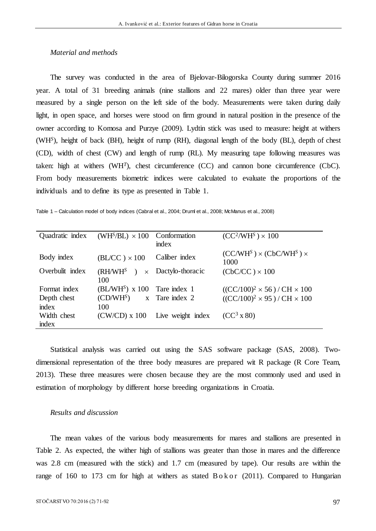# *Material and methods*

The survey was conducted in the area of Bjelovar-Bilogorska County during summer 2016 year. A total of 31 breeding animals (nine stallions and 22 mares) older than three year were measured by a single person on the left side of the body. Measurements were taken during daily light, in open space, and horses were stood on firm ground in natural position in the presence of the owner according to Komosa and Purzye (2009). Lydtin stick was used to measure: height at withers (WH*<sup>S</sup>* ), height of back (BH), height of rump (RH), diagonal length of the body (BL), depth of chest (CD), width of chest (CW) and length of rump (RL). My measuring tape following measures was taken: high at withers  $(WH<sup>T</sup>)$ , chest circumference  $(CC)$  and cannon bone circumference  $(Cb)$ . From body measurements biometric indices were calculated to evaluate the proportions of the individuals and to define its type as presented in Table 1.

Table 1 – Calculation model of body indices (Cabral et al., 2004; Druml et al., 2008; McManus et al., 2008)

| Quadratic index | $(WHS/BL) \times 100$ Conformation | index                     | $(CC2/WHS) \times 100$                     |
|-----------------|------------------------------------|---------------------------|--------------------------------------------|
| Body index      | $(BL/CC) \times 100$               | Caliber index             | $(CC/WHS) \times (CbC/WHS) \times$<br>1000 |
| Overbulit index | (RH/WH <sup>S</sup> )<br>100       | $\times$ Dactylo-thoracic | $(CbC/CC) \times 100$                      |
| Format index    | $(BL/WHS)$ x 100 Tare index 1      |                           | $((CC/100)^2 \times 56) / CH \times 100$   |
| Depth chest     | $(CD/WHS)$ x Tare index 2          |                           | $((CC/100)^2 \times 95) / CH \times 100$   |
| index           | 100                                |                           |                                            |
| Width chest     | $(CW/CD)$ x 100                    | Live weight index         | $(CC^3 \times 80)$                         |
| index           |                                    |                           |                                            |

Statistical analysis was carried out using the SAS software package (SAS, 2008). Twodimensional representation of the three body measures are prepared wit R package (R Core Team, 2013). These three measures were chosen because they are the most commonly used and used in estimation of morphology by different horse breeding organizations in Croatia.

## *Results and discussion*

The mean values of the various body measurements for mares and stallions are presented in Table 2. As expected, the wither high of stallions was greater than those in mares and the difference was 2.8 cm (measured with the stick) and 1.7 cm (measured by tape). Our results are within the range of 160 to 173 cm for high at withers as stated  $B \, o \, k \, o \, r$  (2011). Compared to Hungarian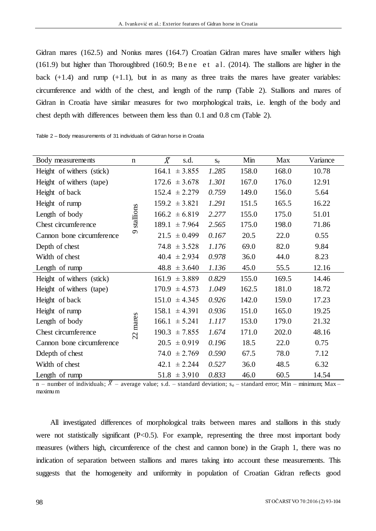Gidran mares (162.5) and Nonius mares (164.7) Croatian Gidran mares have smaller withers high (161.9) but higher than Thoroughbred (160.9; Bene et al. (2014). The stallions are higher in the back  $(+1.4)$  and rump  $(+1.1)$ , but in as many as three traits the mares have greater variables: circumference and width of the chest, and length of the rump (Table 2). Stallions and mares of Gidran in Croatia have similar measures for two morphological traits, i.e. length of the body and chest depth with differences between them less than 0.1 and 0.8 cm (Table 2).

Table 2 – Body measurements of 31 individuals of Gidran horse in Croatia

| Body measurements         |           | $\bar{X}$<br>s.d.    | Se    | Min   | Max   | Variance |
|---------------------------|-----------|----------------------|-------|-------|-------|----------|
| Height of withers (stick) |           | $164.1 \pm 3.855$    | 1.285 | 158.0 | 168.0 | 10.78    |
| Height of withers (tape)  |           | $172.6 \pm 3.678$    | 1.301 | 167.0 | 176.0 | 12.91    |
| Height of back            |           | $152.4 \pm 2.279$    | 0.759 | 149.0 | 156.0 | 5.64     |
| Height of rump            |           | $159.2 \pm 3.821$    | 1.291 | 151.5 | 165.5 | 16.22    |
| Length of body            | stallions | $166.2 \pm 6.819$    | 2.277 | 155.0 | 175.0 | 51.01    |
| Chest circumference       |           | $189.1 \pm 7.964$    | 2.565 | 175.0 | 198.0 | 71.86    |
| Cannon bone circumference | $\sigma$  | $21.5 \pm 0.499$     | 0.167 | 20.5  | 22.0  | 0.55     |
| Depth of chest            |           | $74.8 \pm 3.528$     | 1.176 | 69.0  | 82.0  | 9.84     |
| Width of chest            |           | $40.4 \pm 2.934$     | 0.978 | 36.0  | 44.0  | 8.23     |
| Length of rump            |           | $48.8 \pm 3.640$     | 1.136 | 45.0  | 55.5  | 12.16    |
| Height of withers (stick) |           | $161.9 \pm 3.889$    | 0.829 | 155.0 | 169.5 | 14.46    |
| Height of withers (tape)  |           | 170.9<br>$\pm 4.573$ | 1.049 | 162.5 | 181.0 | 18.72    |
| Height of back            |           | $151.0 \pm 4.345$    | 0.926 | 142.0 | 159.0 | 17.23    |
| Height of rump            |           | $158.1 \pm 4.391$    | 0.936 | 151.0 | 165.0 | 19.25    |
| Length of body            |           | $166.1 \pm 5.241$    | 1.117 | 153.0 | 179.0 | 21.32    |
| Chest circumference       | 22 mares  | 190.3<br>± 7.855     | 1.674 | 171.0 | 202.0 | 48.16    |
| Cannon bone circumference |           | $20.5 \pm 0.919$     | 0.196 | 18.5  | 22.0  | 0.75     |
| Ddepth of chest           |           | ± 2.769<br>74.0      | 0.590 | 67.5  | 78.0  | 7.12     |
| Width of chest            |           | ± 2.244<br>42.1      | 0.527 | 36.0  | 48.5  | 6.32     |
| Length of rump            |           | $51.8 \pm 3.910$     | 0.833 | 46.0  | 60.5  | 14.54    |

n – number of individuals;  $\bar{X}$  – average value; s.d. – standard deviation; s<sub>e</sub> – standard error; Min – minimum; Max – maximum

All investigated differences of morphological traits between mares and stallions in this study were not statistically significant  $(P<0.5)$ . For example, representing the three most important body measures (withers high, circumference of the chest and cannon bone) in the Graph 1, there was no indication of separation between stallions and mares taking into account these measurements. This suggests that the homogeneity and uniformity in population of Croatian Gidran reflects good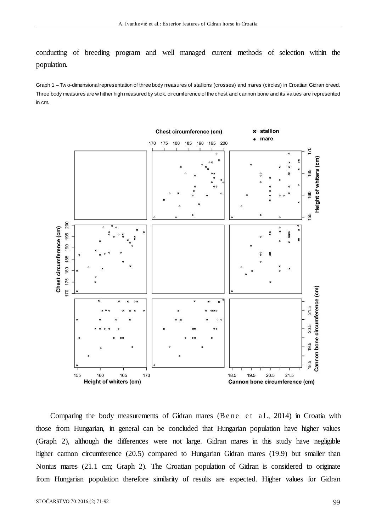conducting of breeding program and well managed current methods of selection within the population.

Graph 1 – Tw o-dimensional representation of three body measures of stallions (crosses) and mares (circles) in Croatian Gidran breed. Three body measures are w hither high measured by stick, circumference of the chest and cannon bone and its values are represented in cm.



Comparing the body measurements of Gidran mares (Bene et al., 2014) in Croatia with those from Hungarian, in general can be concluded that Hungarian population have higher values (Graph 2), although the differences were not large. Gidran mares in this study have negligible higher cannon circumference (20.5) compared to Hungarian Gidran mares (19.9) but smaller than Nonius mares (21.1 cm; Graph 2). The Croatian population of Gidran is considered to originate from Hungarian population therefore similarity of results are expected. Higher values for Gidran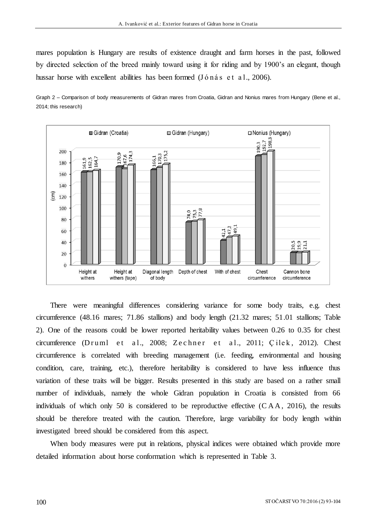mares population is Hungary are results of existence draught and farm horses in the past, followed by directed selection of the breed mainly toward using it for riding and by 1900's an elegant, though hussar horse with excellent abilities has been formed (Jónás et al., 2006).





There were meaningful differences considering variance for some body traits, e.g. chest circumference (48.16 mares; 71.86 stallions) and body length (21.32 mares; 51.01 stallions; Table 2). One of the reasons could be lower reported heritability values between 0.26 to 0.35 for chest circumference (D r uml et al., 2008; Zechner et al., 2011; Çilek, 2012). Chest circumference is correlated with breeding management (i.e. feeding, environmental and housing condition, care, training, etc.), therefore heritability is considered to have less influence thus variation of these traits will be bigger. Results presented in this study are based on a rather small number of individuals, namely the whole Gidran population in Croatia is consisted from 66 individuals of which only 50 is considered to be reproductive effective  $(CAA, 2016)$ , the results should be therefore treated with the caution. Therefore, large variability for body length within investigated breed should be considered from this aspect.

When body measures were put in relations, physical indices were obtained which provide more detailed information about horse conformation which is represented in Table 3.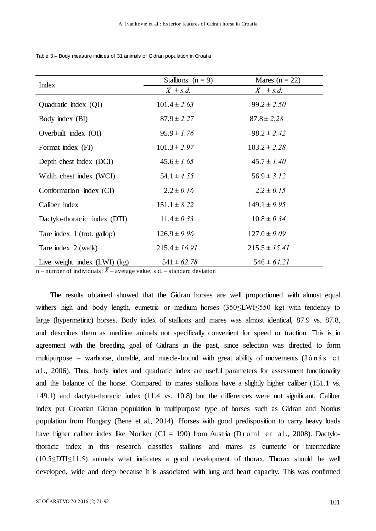| Index                        | Stallions $(n = 9)$ | Mares ( $n = 22$ )   |  |  |
|------------------------------|---------------------|----------------------|--|--|
|                              | $\bar{X} \pm s.d.$  | $\bar{X}$ $\pm$ s.d. |  |  |
| Quadratic index (QI)         | $101.4 \pm 2.63$    | $99.2 \pm 2.50$      |  |  |
| Body index (BI)              | $87.9 \pm 2.27$     | $87.8 \pm 2.28$      |  |  |
| Overbuilt index (OI)         | $95.9 \pm 1.76$     | $98.2 \pm 2.42$      |  |  |
| Format index (FI)            | $101.3 \pm 2.97$    | $103.2 \pm 2.28$     |  |  |
| Depth chest index (DCI)      | $45.6 \pm 1.65$     | $45.7 \pm 1.40$      |  |  |
| Width chest index (WCI)      | $54.1 \pm 4.55$     | $56.9 \pm 3.12$      |  |  |
| Conformation index (CI)      | $2.2 \pm 0.16$      | $2.2 \pm 0.15$       |  |  |
| Caliber index                | $151.1 \pm 8.22$    | $149.1 \pm 9.95$     |  |  |
| Dactylo-thoracic index (DTI) | $11.4 \pm 0.33$     | $10.8 \pm 0.34$      |  |  |
| Tare index 1 (trot. gallop)  | $126.9 \pm 9.96$    | $127.0 \pm 9.09$     |  |  |
| Tare index 2 (walk)          | $215.4 \pm 16.91$   | $215.5 \pm 15.41$    |  |  |
| Live weight index (LWI) (kg) | $541 \pm 62.78$     | $546 \pm 64.21$      |  |  |

Table 3 – Body measure indices of 31 animals of Gidran population in Croatia

n – number of individuals;  $X$  – average value; s.d. – standard deviation

The results obtained showed that the Gidran horses are well proportioned with almost equal withers high and body length, eumetric or medium horses (350≤LWI≤550 kg) with tendency to large (hypermetiric) horses. Body index of stallions and mares was almost identical, 87.9 vs. 87.8, and describes them as mediline animals not specifically convenient for speed or traction. This is in agreement with the breeding goal of Gidrans in the past, since selection was directed to form multipurpose – warhorse, durable, and muscle-bound with great ability of movements (Jónás et a l., 2006). Thus, body index and quadratic index are useful parameters for assessment functionality and the balance of the horse. Compared to mares stallions have a slightly higher caliber (151.1 vs. 149.1) and dactylo-thoracic index (11.4 vs. 10.8) but the differences were not significant. Caliber index put Croatian Gidran population in multipurpose type of horses such as Gidran and Nonius population from Hungary (Bene et al., 2014). Horses with good predisposition to carry heavy loads have higher caliber index like Noriker (CI = 190) from Austria (D r uml et al., 2008). Dactylothoracic index in this research classifies stallions and mares as eumetric or intermediate (10.5≤DTI≤11.5) animals what indicates a good development of thorax. Thorax should be well developed, wide and deep because it is associated with lung and heart capacity. This was confirmed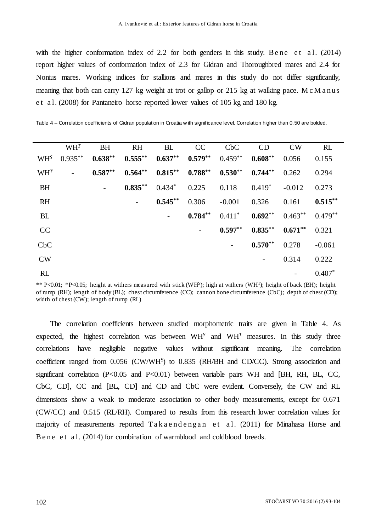with the higher conformation index of 2.2 for both genders in this study. Bene et al.  $(2014)$ report higher values of conformation index of 2.3 for Gidran and Thoroughbred mares and 2.4 for Nonius mares. Working indices for stallions and mares in this study do not differ significantly, meaning that both can carry 127 kg weight at trot or gallop or 215 kg at walking pace. M c M a nus e t a l. (2008) for Pantaneiro horse reported lower values of 105 kg and 180 kg.

Table 4 – Correlation coefficients of Gidran population in Croatia w ith significance level. Correlation higher than 0.50 are bolded.

|                 | $WH^T$         | <b>BH</b> | <b>RH</b>  | <b>BL</b>             | CC         | C <sub>b</sub> C | CD                       | CW        | RL        |
|-----------------|----------------|-----------|------------|-----------------------|------------|------------------|--------------------------|-----------|-----------|
| WH <sup>S</sup> | $0.935***$     | $0.638**$ | $0.555***$ | $0.637***$ $0.579***$ |            | $0.459**$        | $0.608**$                | 0.056     | 0.155     |
| $WH^{T}$        | $\overline{a}$ | $0.587**$ | $0.564**$  | $0.815***$            | $0.788***$ | $0.530**$        | $0.744**$                | 0.262     | 0.294     |
| <b>BH</b>       |                |           | $0.835***$ | $0.434*$              | 0.225      | 0.118            | $0.419*$                 | $-0.012$  | 0.273     |
| <b>RH</b>       |                |           |            | $0.545***$            | 0.306      | $-0.001$         | 0.326                    | 0.161     | $0.515**$ |
| <b>BL</b>       |                |           |            |                       | $0.784**$  | $0.411*$         | $0.692**$                | $0.463**$ | $0.479**$ |
| CC              |                |           |            |                       |            | $0.597**$        | $0.835***$               | $0.671**$ | 0.321     |
| CbC             |                |           |            |                       |            |                  | $0.570**$                | 0.278     | $-0.061$  |
| <b>CW</b>       |                |           |            |                       |            |                  | $\overline{\phantom{a}}$ | 0.314     | 0.222     |
| RL              |                |           |            |                       |            |                  |                          |           | $0.407*$  |

\*\* P<0.01; \*P<0.05; height at withers measured with stick (WH<sup>S</sup> ); high at withers (WH<sup>T</sup>); height of back (BH); height of rump (RH); length of body (BL); chest circumference (CC); cannon bone circumference (CbC); depth of chest (CD); width of chest (CW); length of rump (RL)

The correlation coefficients between studied morphometric traits are given in Table 4. As expected, the highest correlation was between  $WH^S$  and  $WH^T$  measures. In this study three correlations have negligible negative values without significant meaning. The correlation coefficient ranged from 0.056 (CW/WH<sup>S</sup>) to 0.835 (RH/BH and CD/CC). Strong association and significant correlation (P<0.05 and P<0.01) between variable pairs WH and [BH, RH, BL, CC, CbC, CD], CC and [BL, CD] and CD and CbC were evident. Conversely, the CW and RL dimensions show a weak to moderate association to other body measurements, except for 0.671 (CW/CC) and 0.515 (RL/RH). Compared to results from this research lower correlation values for majority of measurements reported Takaendengan et al. (2011) for Minahasa Horse and B e ne e t a l. (2014) for combination of warmblood and coldblood breeds.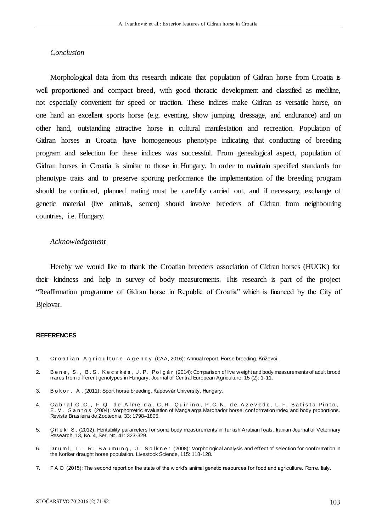# *Conclusion*

Morphological data from this research indicate that population of Gidran horse from Croatia is well proportioned and compact breed, with good thoracic development and classified as mediline, not especially convenient for speed or traction. These indices make Gidran as versatile horse, on one hand an excellent sports horse (e.g. eventing, show jumping, dressage, and endurance) and on other hand, outstanding attractive horse in cultural manifestation and recreation. Population of Gidran horses in Croatia have homogeneous phenotype indicating that conducting of breeding program and selection for these indices was successful. From genealogical aspect, population of Gidran horses in Croatia is similar to those in Hungary. In order to maintain specified standards for phenotype traits and to preserve sporting performance the implementation of the breeding program should be continued, planned mating must be carefully carried out, and if necessary, exchange of genetic material (live animals, semen) should involve breeders of Gidran from neighbouring countries, i.e. Hungary.

### *Acknowledgement*

Hereby we would like to thank the Croatian breeders association of Gidran horses (HUGK) for their kindness and help in survey of body measurements. This research is part of the project "Reaffirmation programme of Gidran horse in Republic of Croatia" which is financed by the City of Bjelovar.

#### **REFERENCES**

- 1. Croatian Agriculture Agency (CAA, 2016): Annual report. Horse breeding. Križevci.
- 2. B e n e , S . , B . S . K e c s k é s , J . P . P o l g á r (2014): Comparison of live w eight and body measurements of adult brood mares from different genotypes in Hungary. Journal of Central European Agriculture, 15 (2): 1-11.
- 3. B o k o r , Á . (2011): Sport horse breeding. Kaposvár University. Hungary.
- 4. Cabral G.C., F.Q. de Almeida, C.R. Quirino, P.C.N. de Azevedo, L.F. Batista Pinto, E . M . S a n t o s (2004): Morphometric evaluation of Mangalarga Marchador horse: conformation index and body proportions. Revista Brasileira de Zootecnia, 33: 1798–1805.
- 5. Ç i l e k S . (2012): Heritability parameters for some body measurements in Turkish Arabian foals. Iranian Journal of Veterinary Research, 13, No. 4, Ser. No. 41: 323-329.
- 6. Druml, T., R. Baumung, J. Solkner (2008): Morphological analysis and effect of selection for conformation in the Noriker draught horse population. Livestock Science, 115: 118-128.
- 7. F A O (2015): The second report on the state of the w orld's animal genetic resources for food and agriculture. Rome. Italy.